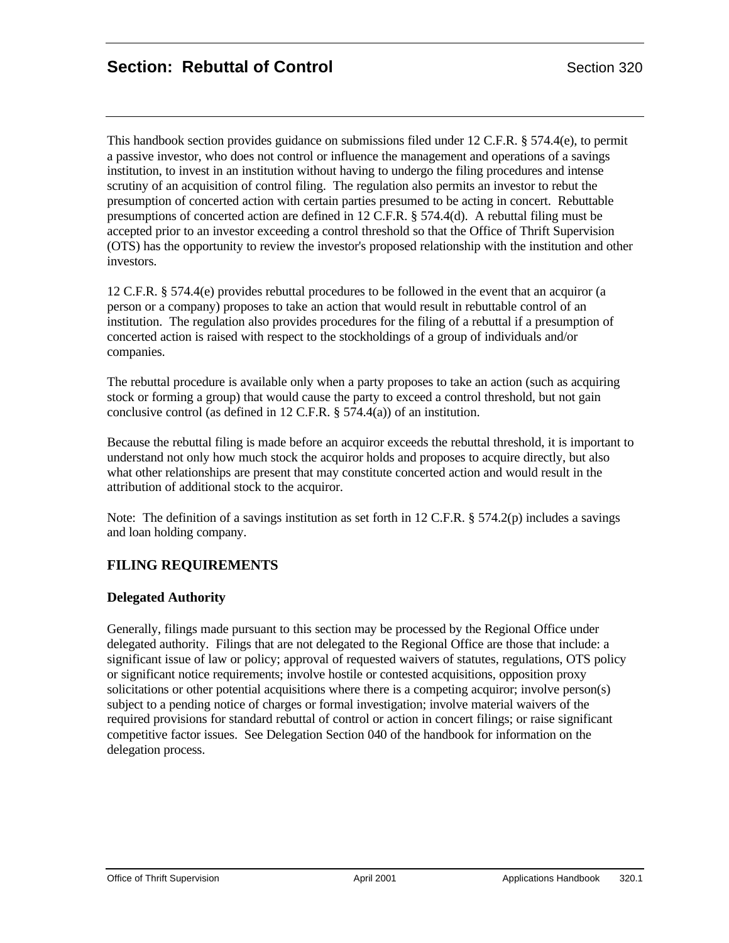This handbook section provides guidance on submissions filed under 12 C.F.R. § 574.4(e), to permit a passive investor, who does not control or influence the management and operations of a savings institution, to invest in an institution without having to undergo the filing procedures and intense scrutiny of an acquisition of control filing. The regulation also permits an investor to rebut the presumption of concerted action with certain parties presumed to be acting in concert. Rebuttable presumptions of concerted action are defined in 12 C.F.R. § 574.4(d). A rebuttal filing must be accepted prior to an investor exceeding a control threshold so that the Office of Thrift Supervision (OTS) has the opportunity to review the investor's proposed relationship with the institution and other investors.

12 C.F.R. § 574.4(e) provides rebuttal procedures to be followed in the event that an acquiror (a person or a company) proposes to take an action that would result in rebuttable control of an institution. The regulation also provides procedures for the filing of a rebuttal if a presumption of concerted action is raised with respect to the stockholdings of a group of individuals and/or companies.

The rebuttal procedure is available only when a party proposes to take an action (such as acquiring stock or forming a group) that would cause the party to exceed a control threshold, but not gain conclusive control (as defined in 12 C.F.R. § 574.4(a)) of an institution.

Because the rebuttal filing is made before an acquiror exceeds the rebuttal threshold, it is important to understand not only how much stock the acquiror holds and proposes to acquire directly, but also what other relationships are present that may constitute concerted action and would result in the attribution of additional stock to the acquiror.

Note: The definition of a savings institution as set forth in 12 C.F.R. § 574.2(p) includes a savings and loan holding company.

# **FILING REQUIREMENTS**

#### **Delegated Authority**

Generally, filings made pursuant to this section may be processed by the Regional Office under delegated authority. Filings that are not delegated to the Regional Office are those that include: a significant issue of law or policy; approval of requested waivers of statutes, regulations, OTS policy or significant notice requirements; involve hostile or contested acquisitions, opposition proxy solicitations or other potential acquisitions where there is a competing acquiror; involve person(s) subject to a pending notice of charges or formal investigation; involve material waivers of the required provisions for standard rebuttal of control or action in concert filings; or raise significant competitive factor issues. See Delegation Section 040 of the handbook for information on the delegation process.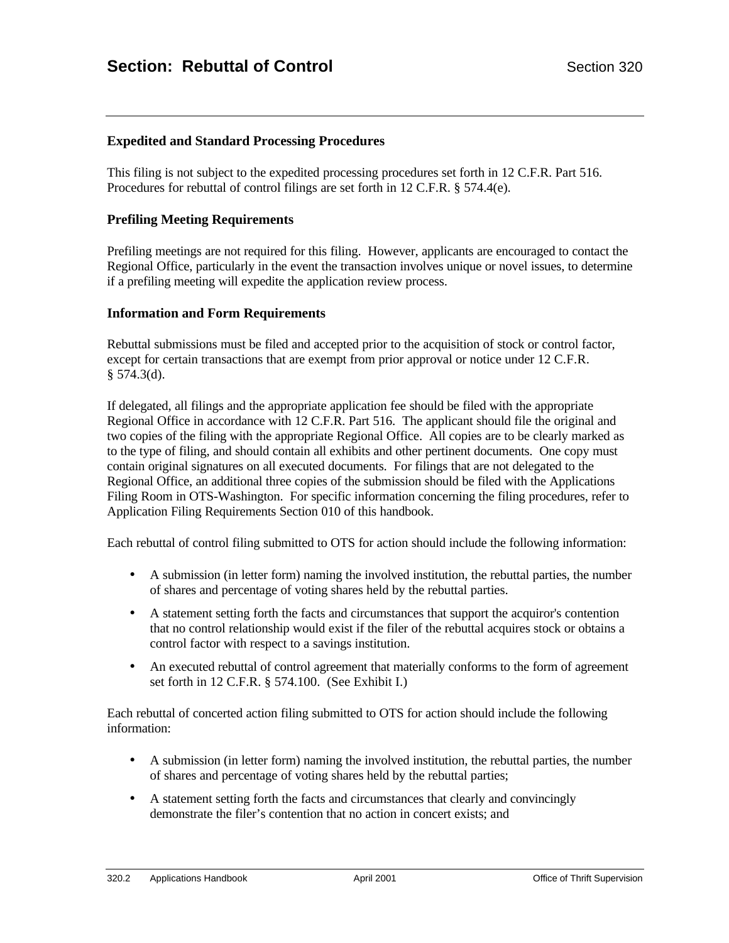### **Expedited and Standard Processing Procedures**

This filing is not subject to the expedited processing procedures set forth in 12 C.F.R. Part 516. Procedures for rebuttal of control filings are set forth in 12 C.F.R. § 574.4(e).

#### **Prefiling Meeting Requirements**

Prefiling meetings are not required for this filing. However, applicants are encouraged to contact the Regional Office, particularly in the event the transaction involves unique or novel issues, to determine if a prefiling meeting will expedite the application review process.

#### **Information and Form Requirements**

Rebuttal submissions must be filed and accepted prior to the acquisition of stock or control factor, except for certain transactions that are exempt from prior approval or notice under 12 C.F.R.  $§$  574.3(d).

If delegated, all filings and the appropriate application fee should be filed with the appropriate Regional Office in accordance with 12 C.F.R. Part 516. The applicant should file the original and two copies of the filing with the appropriate Regional Office. All copies are to be clearly marked as to the type of filing, and should contain all exhibits and other pertinent documents. One copy must contain original signatures on all executed documents. For filings that are not delegated to the Regional Office, an additional three copies of the submission should be filed with the Applications Filing Room in OTS-Washington. For specific information concerning the filing procedures, refer to Application Filing Requirements Section 010 of this handbook.

Each rebuttal of control filing submitted to OTS for action should include the following information:

- A submission (in letter form) naming the involved institution, the rebuttal parties, the number of shares and percentage of voting shares held by the rebuttal parties.
- A statement setting forth the facts and circumstances that support the acquiror's contention that no control relationship would exist if the filer of the rebuttal acquires stock or obtains a control factor with respect to a savings institution.
- An executed rebuttal of control agreement that materially conforms to the form of agreement set forth in 12 C.F.R. § 574.100. (See Exhibit I.)

Each rebuttal of concerted action filing submitted to OTS for action should include the following information:

- A submission (in letter form) naming the involved institution, the rebuttal parties, the number of shares and percentage of voting shares held by the rebuttal parties;
- A statement setting forth the facts and circumstances that clearly and convincingly demonstrate the filer's contention that no action in concert exists; and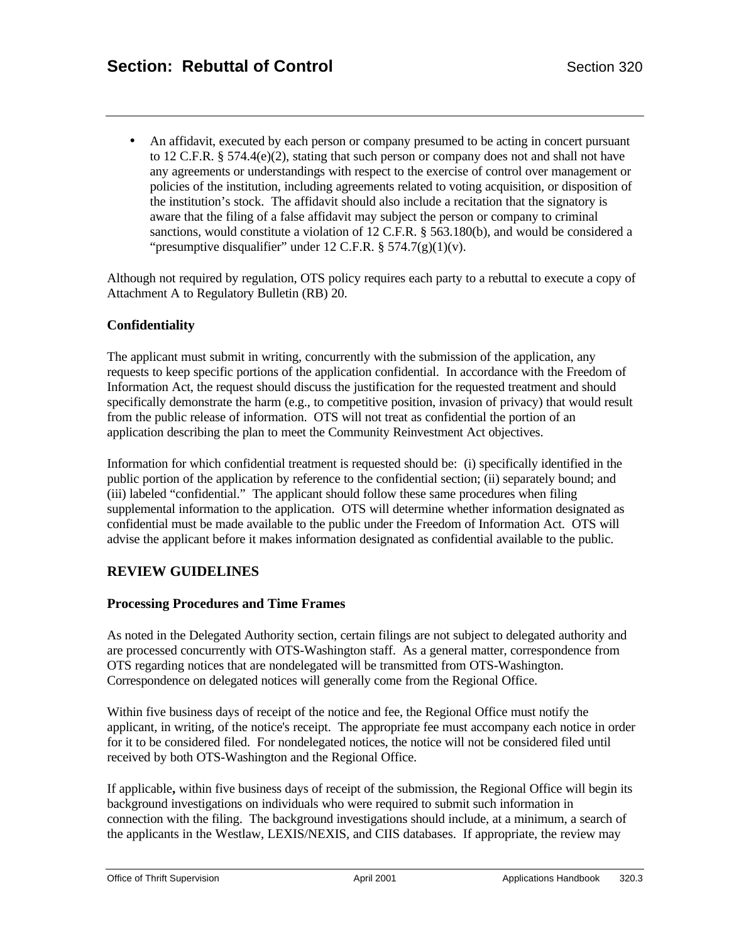• An affidavit, executed by each person or company presumed to be acting in concert pursuant to 12 C.F.R. § 574.4(e)(2), stating that such person or company does not and shall not have any agreements or understandings with respect to the exercise of control over management or policies of the institution, including agreements related to voting acquisition, or disposition of the institution's stock. The affidavit should also include a recitation that the signatory is aware that the filing of a false affidavit may subject the person or company to criminal sanctions, would constitute a violation of 12 C.F.R. § 563.180(b), and would be considered a "presumptive disqualifier" under 12 C.F.R.  $\S 574.7(g)(1)(v)$ .

Although not required by regulation, OTS policy requires each party to a rebuttal to execute a copy of Attachment A to Regulatory Bulletin (RB) 20.

#### **Confidentiality**

The applicant must submit in writing, concurrently with the submission of the application, any requests to keep specific portions of the application confidential. In accordance with the Freedom of Information Act, the request should discuss the justification for the requested treatment and should specifically demonstrate the harm (e.g., to competitive position, invasion of privacy) that would result from the public release of information. OTS will not treat as confidential the portion of an application describing the plan to meet the Community Reinvestment Act objectives.

Information for which confidential treatment is requested should be: (i) specifically identified in the public portion of the application by reference to the confidential section; (ii) separately bound; and (iii) labeled "confidential." The applicant should follow these same procedures when filing supplemental information to the application. OTS will determine whether information designated as confidential must be made available to the public under the Freedom of Information Act. OTS will advise the applicant before it makes information designated as confidential available to the public.

#### **REVIEW GUIDELINES**

#### **Processing Procedures and Time Frames**

As noted in the Delegated Authority section, certain filings are not subject to delegated authority and are processed concurrently with OTS-Washington staff. As a general matter, correspondence from OTS regarding notices that are nondelegated will be transmitted from OTS-Washington. Correspondence on delegated notices will generally come from the Regional Office.

Within five business days of receipt of the notice and fee, the Regional Office must notify the applicant, in writing, of the notice's receipt. The appropriate fee must accompany each notice in order for it to be considered filed. For nondelegated notices, the notice will not be considered filed until received by both OTS-Washington and the Regional Office.

If applicable**,** within five business days of receipt of the submission, the Regional Office will begin its background investigations on individuals who were required to submit such information in connection with the filing. The background investigations should include, at a minimum, a search of the applicants in the Westlaw, LEXIS/NEXIS, and CIIS databases. If appropriate, the review may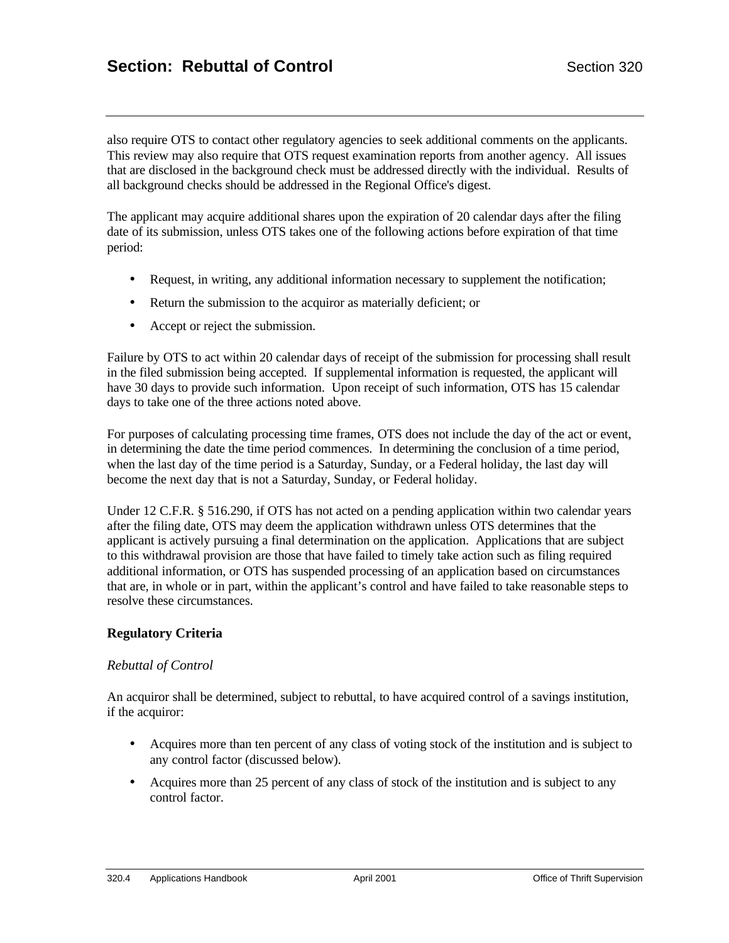also require OTS to contact other regulatory agencies to seek additional comments on the applicants. This review may also require that OTS request examination reports from another agency. All issues that are disclosed in the background check must be addressed directly with the individual. Results of all background checks should be addressed in the Regional Office's digest.

The applicant may acquire additional shares upon the expiration of 20 calendar days after the filing date of its submission, unless OTS takes one of the following actions before expiration of that time period:

- Request, in writing, any additional information necessary to supplement the notification;
- Return the submission to the acquiror as materially deficient; or
- Accept or reject the submission.

Failure by OTS to act within 20 calendar days of receipt of the submission for processing shall result in the filed submission being accepted. If supplemental information is requested, the applicant will have 30 days to provide such information. Upon receipt of such information, OTS has 15 calendar days to take one of the three actions noted above.

For purposes of calculating processing time frames, OTS does not include the day of the act or event, in determining the date the time period commences. In determining the conclusion of a time period, when the last day of the time period is a Saturday, Sunday, or a Federal holiday, the last day will become the next day that is not a Saturday, Sunday, or Federal holiday.

Under 12 C.F.R. § 516.290, if OTS has not acted on a pending application within two calendar years after the filing date, OTS may deem the application withdrawn unless OTS determines that the applicant is actively pursuing a final determination on the application. Applications that are subject to this withdrawal provision are those that have failed to timely take action such as filing required additional information, or OTS has suspended processing of an application based on circumstances that are, in whole or in part, within the applicant's control and have failed to take reasonable steps to resolve these circumstances.

#### **Regulatory Criteria**

#### *Rebuttal of Control*

An acquiror shall be determined, subject to rebuttal, to have acquired control of a savings institution, if the acquiror:

- Acquires more than ten percent of any class of voting stock of the institution and is subject to any control factor (discussed below).
- Acquires more than 25 percent of any class of stock of the institution and is subject to any control factor.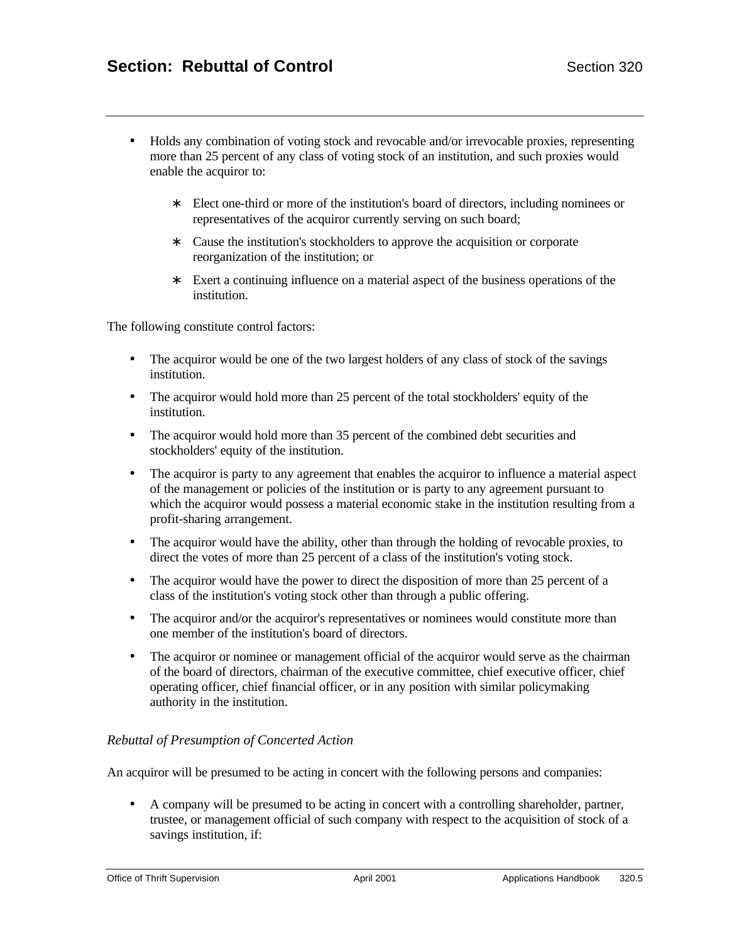- Holds any combination of voting stock and revocable and/or irrevocable proxies, representing more than 25 percent of any class of voting stock of an institution, and such proxies would enable the acquiror to:
	- ∗ Elect one-third or more of the institution's board of directors, including nominees or representatives of the acquiror currently serving on such board;
	- ∗ Cause the institution's stockholders to approve the acquisition or corporate reorganization of the institution; or
	- ∗ Exert a continuing influence on a material aspect of the business operations of the institution.

The following constitute control factors:

- The acquiror would be one of the two largest holders of any class of stock of the savings institution.
- The acquiror would hold more than 25 percent of the total stockholders' equity of the institution.
- The acquiror would hold more than 35 percent of the combined debt securities and stockholders' equity of the institution.
- The acquiror is party to any agreement that enables the acquiror to influence a material aspect of the management or policies of the institution or is party to any agreement pursuant to which the acquiror would possess a material economic stake in the institution resulting from a profit-sharing arrangement.
- The acquiror would have the ability, other than through the holding of revocable proxies, to direct the votes of more than 25 percent of a class of the institution's voting stock.
- The acquiror would have the power to direct the disposition of more than 25 percent of a class of the institution's voting stock other than through a public offering.
- The acquiror and/or the acquiror's representatives or nominees would constitute more than one member of the institution's board of directors.
- The acquiror or nominee or management official of the acquiror would serve as the chairman of the board of directors, chairman of the executive committee, chief executive officer, chief operating officer, chief financial officer, or in any position with similar policymaking authority in the institution.

#### *Rebuttal of Presumption of Concerted Action*

An acquiror will be presumed to be acting in concert with the following persons and companies:

• A company will be presumed to be acting in concert with a controlling shareholder, partner, trustee, or management official of such company with respect to the acquisition of stock of a savings institution, if: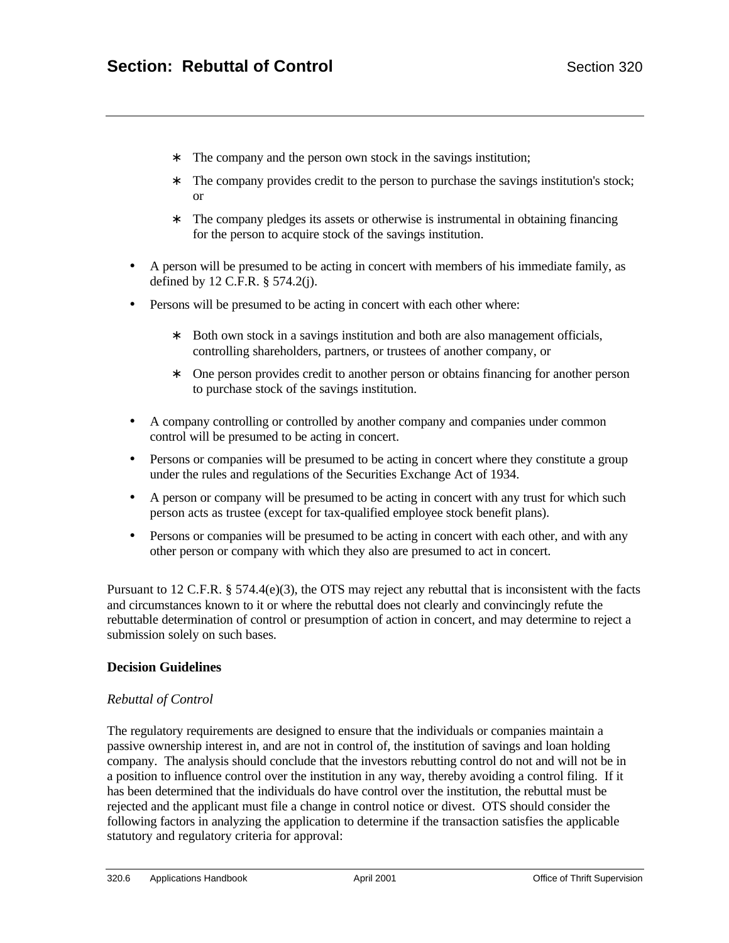- ∗ The company and the person own stock in the savings institution;
- ∗ The company provides credit to the person to purchase the savings institution's stock; or
- ∗ The company pledges its assets or otherwise is instrumental in obtaining financing for the person to acquire stock of the savings institution.
- A person will be presumed to be acting in concert with members of his immediate family, as defined by 12 C.F.R. § 574.2(j).
- Persons will be presumed to be acting in concert with each other where:
	- ∗ Both own stock in a savings institution and both are also management officials, controlling shareholders, partners, or trustees of another company, or
	- ∗ One person provides credit to another person or obtains financing for another person to purchase stock of the savings institution.
- A company controlling or controlled by another company and companies under common control will be presumed to be acting in concert.
- Persons or companies will be presumed to be acting in concert where they constitute a group under the rules and regulations of the Securities Exchange Act of 1934.
- A person or company will be presumed to be acting in concert with any trust for which such person acts as trustee (except for tax-qualified employee stock benefit plans).
- Persons or companies will be presumed to be acting in concert with each other, and with any other person or company with which they also are presumed to act in concert.

Pursuant to 12 C.F.R. § 574.4(e)(3), the OTS may reject any rebuttal that is inconsistent with the facts and circumstances known to it or where the rebuttal does not clearly and convincingly refute the rebuttable determination of control or presumption of action in concert, and may determine to reject a submission solely on such bases.

#### **Decision Guidelines**

#### *Rebuttal of Control*

The regulatory requirements are designed to ensure that the individuals or companies maintain a passive ownership interest in, and are not in control of, the institution of savings and loan holding company. The analysis should conclude that the investors rebutting control do not and will not be in a position to influence control over the institution in any way, thereby avoiding a control filing. If it has been determined that the individuals do have control over the institution, the rebuttal must be rejected and the applicant must file a change in control notice or divest. OTS should consider the following factors in analyzing the application to determine if the transaction satisfies the applicable statutory and regulatory criteria for approval: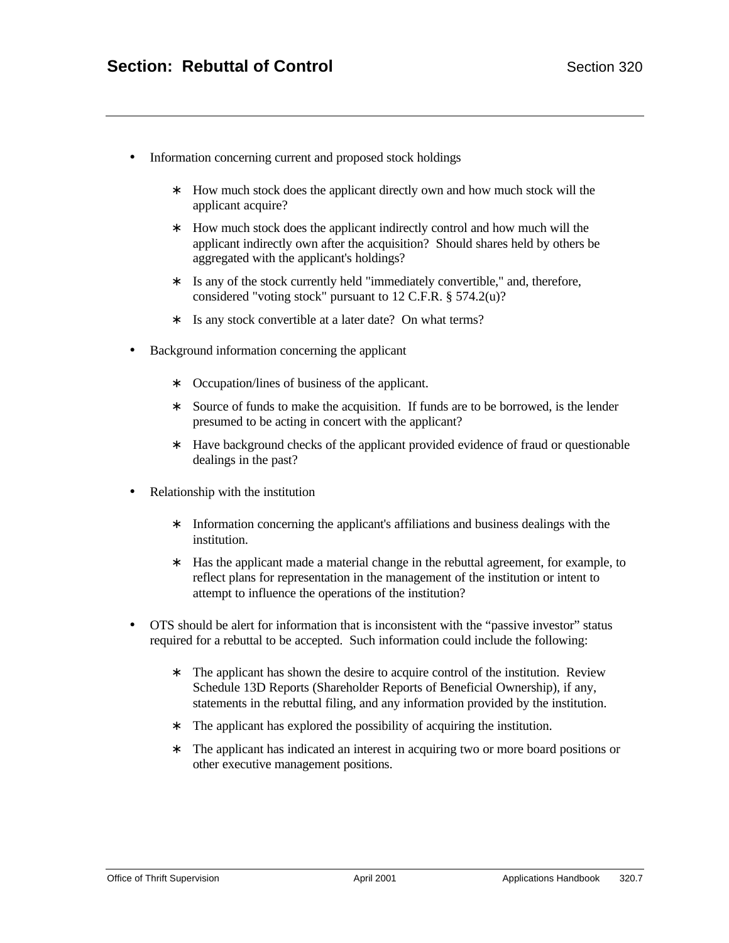- Information concerning current and proposed stock holdings
	- ∗ How much stock does the applicant directly own and how much stock will the applicant acquire?
	- ∗ How much stock does the applicant indirectly control and how much will the applicant indirectly own after the acquisition? Should shares held by others be aggregated with the applicant's holdings?
	- ∗ Is any of the stock currently held "immediately convertible," and, therefore, considered "voting stock" pursuant to 12 C.F.R. § 574.2(u)?
	- ∗ Is any stock convertible at a later date? On what terms?
- Background information concerning the applicant
	- ∗ Occupation/lines of business of the applicant.
	- ∗ Source of funds to make the acquisition. If funds are to be borrowed, is the lender presumed to be acting in concert with the applicant?
	- ∗ Have background checks of the applicant provided evidence of fraud or questionable dealings in the past?
- Relationship with the institution
	- ∗ Information concerning the applicant's affiliations and business dealings with the institution.
	- ∗ Has the applicant made a material change in the rebuttal agreement, for example, to reflect plans for representation in the management of the institution or intent to attempt to influence the operations of the institution?
- OTS should be alert for information that is inconsistent with the "passive investor" status required for a rebuttal to be accepted. Such information could include the following:
	- ∗ The applicant has shown the desire to acquire control of the institution. Review Schedule 13D Reports (Shareholder Reports of Beneficial Ownership), if any, statements in the rebuttal filing, and any information provided by the institution.
	- ∗ The applicant has explored the possibility of acquiring the institution.
	- ∗ The applicant has indicated an interest in acquiring two or more board positions or other executive management positions.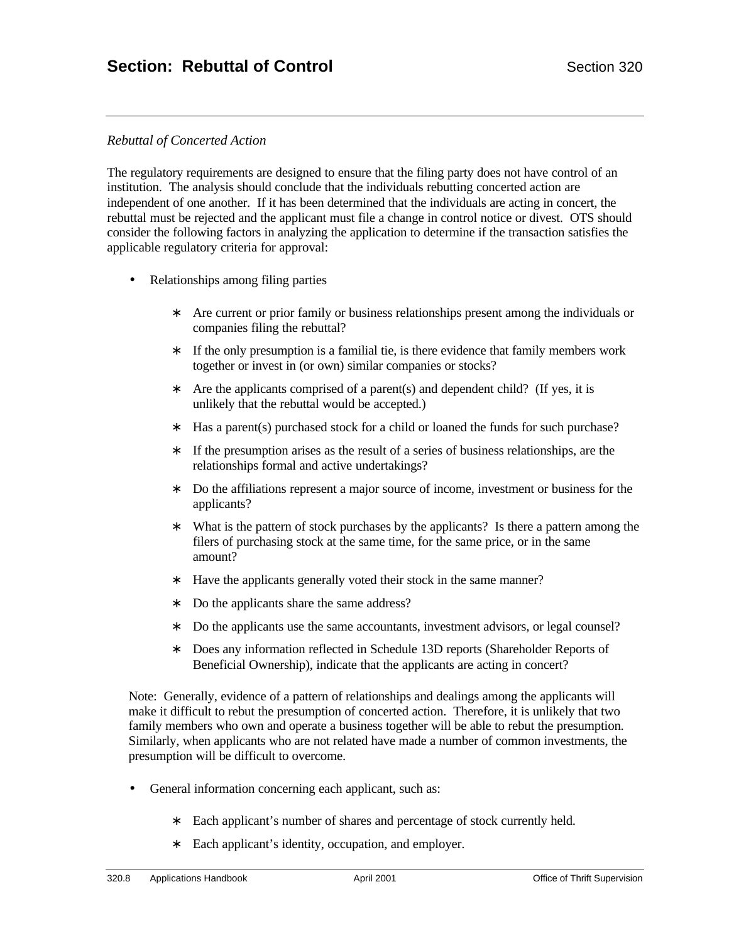## *Rebuttal of Concerted Action*

The regulatory requirements are designed to ensure that the filing party does not have control of an institution. The analysis should conclude that the individuals rebutting concerted action are independent of one another. If it has been determined that the individuals are acting in concert, the rebuttal must be rejected and the applicant must file a change in control notice or divest. OTS should consider the following factors in analyzing the application to determine if the transaction satisfies the applicable regulatory criteria for approval:

- Relationships among filing parties
	- ∗ Are current or prior family or business relationships present among the individuals or companies filing the rebuttal?
	- ∗ If the only presumption is a familial tie, is there evidence that family members work together or invest in (or own) similar companies or stocks?
	- ∗ Are the applicants comprised of a parent(s) and dependent child? (If yes, it is unlikely that the rebuttal would be accepted.)
	- ∗ Has a parent(s) purchased stock for a child or loaned the funds for such purchase?
	- ∗ If the presumption arises as the result of a series of business relationships, are the relationships formal and active undertakings?
	- ∗ Do the affiliations represent a major source of income, investment or business for the applicants?
	- ∗ What is the pattern of stock purchases by the applicants? Is there a pattern among the filers of purchasing stock at the same time, for the same price, or in the same amount?
	- ∗ Have the applicants generally voted their stock in the same manner?
	- ∗ Do the applicants share the same address?
	- ∗ Do the applicants use the same accountants, investment advisors, or legal counsel?
	- ∗ Does any information reflected in Schedule 13D reports (Shareholder Reports of Beneficial Ownership), indicate that the applicants are acting in concert?

Note: Generally, evidence of a pattern of relationships and dealings among the applicants will make it difficult to rebut the presumption of concerted action. Therefore, it is unlikely that two family members who own and operate a business together will be able to rebut the presumption. Similarly, when applicants who are not related have made a number of common investments, the presumption will be difficult to overcome.

- General information concerning each applicant, such as:
	- ∗ Each applicant's number of shares and percentage of stock currently held.
	- ∗ Each applicant's identity, occupation, and employer.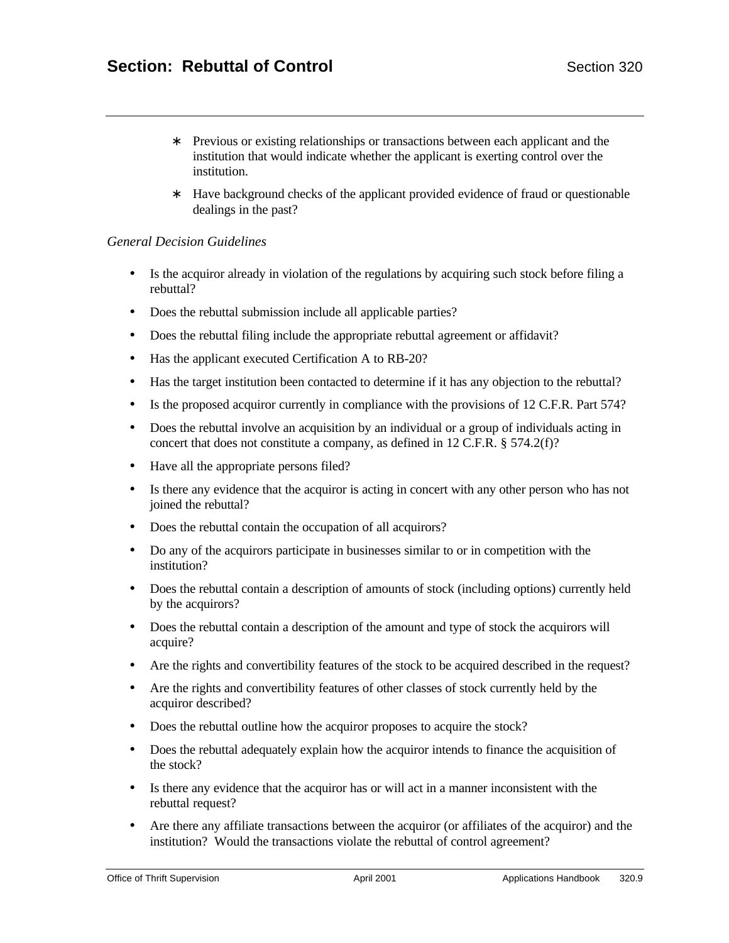- ∗ Previous or existing relationships or transactions between each applicant and the institution that would indicate whether the applicant is exerting control over the institution.
- ∗ Have background checks of the applicant provided evidence of fraud or questionable dealings in the past?

#### *General Decision Guidelines*

- Is the acquiror already in violation of the regulations by acquiring such stock before filing a rebuttal?
- Does the rebuttal submission include all applicable parties?
- Does the rebuttal filing include the appropriate rebuttal agreement or affidavit?
- Has the applicant executed Certification A to RB-20?
- Has the target institution been contacted to determine if it has any objection to the rebuttal?
- Is the proposed acquiror currently in compliance with the provisions of 12 C.F.R. Part 574?
- Does the rebuttal involve an acquisition by an individual or a group of individuals acting in concert that does not constitute a company, as defined in 12 C.F.R. § 574.2(f)?
- Have all the appropriate persons filed?
- Is there any evidence that the acquiror is acting in concert with any other person who has not joined the rebuttal?
- Does the rebuttal contain the occupation of all acquirors?
- Do any of the acquirors participate in businesses similar to or in competition with the institution?
- Does the rebuttal contain a description of amounts of stock (including options) currently held by the acquirors?
- Does the rebuttal contain a description of the amount and type of stock the acquirors will acquire?
- Are the rights and convertibility features of the stock to be acquired described in the request?
- Are the rights and convertibility features of other classes of stock currently held by the acquiror described?
- Does the rebuttal outline how the acquiror proposes to acquire the stock?
- Does the rebuttal adequately explain how the acquiror intends to finance the acquisition of the stock?
- Is there any evidence that the acquiror has or will act in a manner inconsistent with the rebuttal request?
- Are there any affiliate transactions between the acquiror (or affiliates of the acquiror) and the institution? Would the transactions violate the rebuttal of control agreement?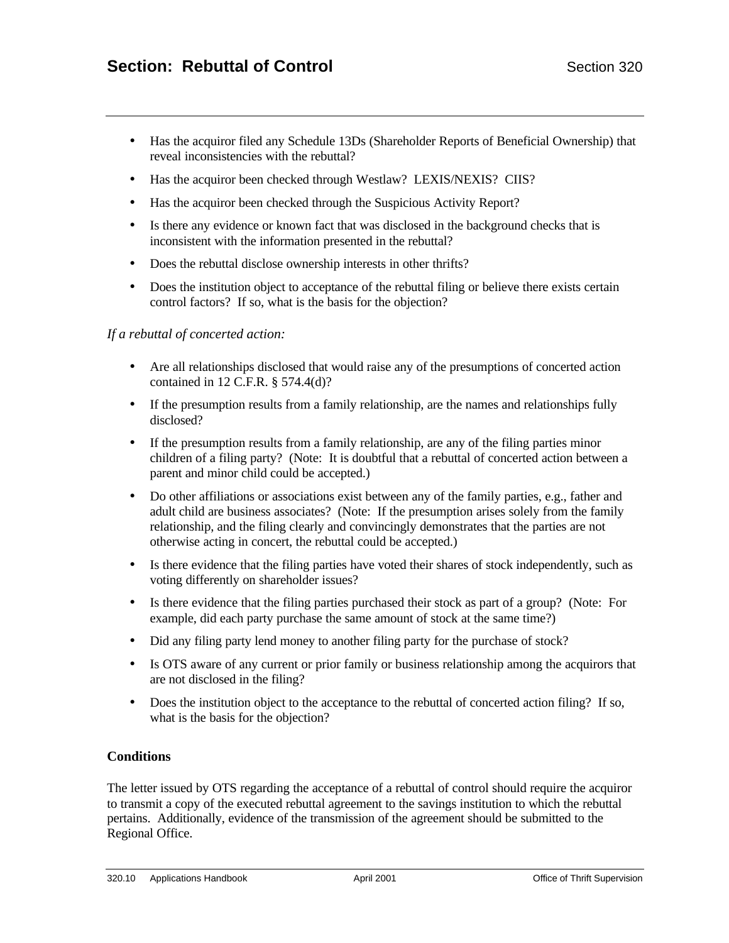- Has the acquiror filed any Schedule 13Ds (Shareholder Reports of Beneficial Ownership) that reveal inconsistencies with the rebuttal?
- Has the acquiror been checked through Westlaw? LEXIS/NEXIS? CIIS?
- Has the acquiror been checked through the Suspicious Activity Report?
- Is there any evidence or known fact that was disclosed in the background checks that is inconsistent with the information presented in the rebuttal?
- Does the rebuttal disclose ownership interests in other thrifts?
- Does the institution object to acceptance of the rebuttal filing or believe there exists certain control factors? If so, what is the basis for the objection?

#### *If a rebuttal of concerted action:*

- Are all relationships disclosed that would raise any of the presumptions of concerted action contained in 12 C.F.R. § 574.4(d)?
- If the presumption results from a family relationship, are the names and relationships fully disclosed?
- If the presumption results from a family relationship, are any of the filing parties minor children of a filing party? (Note: It is doubtful that a rebuttal of concerted action between a parent and minor child could be accepted.)
- Do other affiliations or associations exist between any of the family parties, e.g., father and adult child are business associates? (Note: If the presumption arises solely from the family relationship, and the filing clearly and convincingly demonstrates that the parties are not otherwise acting in concert, the rebuttal could be accepted.)
- Is there evidence that the filing parties have voted their shares of stock independently, such as voting differently on shareholder issues?
- Is there evidence that the filing parties purchased their stock as part of a group? (Note: For example, did each party purchase the same amount of stock at the same time?)
- Did any filing party lend money to another filing party for the purchase of stock?
- Is OTS aware of any current or prior family or business relationship among the acquirors that are not disclosed in the filing?
- Does the institution object to the acceptance to the rebuttal of concerted action filing? If so, what is the basis for the objection?

#### **Conditions**

The letter issued by OTS regarding the acceptance of a rebuttal of control should require the acquiror to transmit a copy of the executed rebuttal agreement to the savings institution to which the rebuttal pertains. Additionally, evidence of the transmission of the agreement should be submitted to the Regional Office.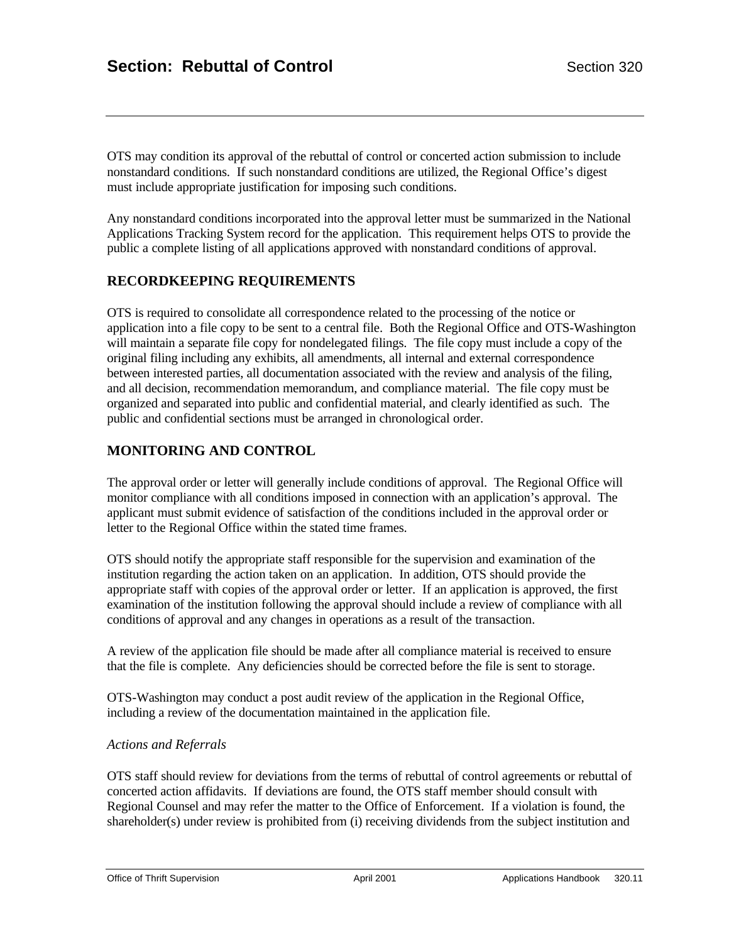OTS may condition its approval of the rebuttal of control or concerted action submission to include nonstandard conditions. If such nonstandard conditions are utilized, the Regional Office's digest must include appropriate justification for imposing such conditions.

Any nonstandard conditions incorporated into the approval letter must be summarized in the National Applications Tracking System record for the application. This requirement helps OTS to provide the public a complete listing of all applications approved with nonstandard conditions of approval.

#### **RECORDKEEPING REQUIREMENTS**

OTS is required to consolidate all correspondence related to the processing of the notice or application into a file copy to be sent to a central file. Both the Regional Office and OTS-Washington will maintain a separate file copy for nondelegated filings. The file copy must include a copy of the original filing including any exhibits, all amendments, all internal and external correspondence between interested parties, all documentation associated with the review and analysis of the filing, and all decision, recommendation memorandum, and compliance material. The file copy must be organized and separated into public and confidential material, and clearly identified as such. The public and confidential sections must be arranged in chronological order.

## **MONITORING AND CONTROL**

The approval order or letter will generally include conditions of approval. The Regional Office will monitor compliance with all conditions imposed in connection with an application's approval. The applicant must submit evidence of satisfaction of the conditions included in the approval order or letter to the Regional Office within the stated time frames.

OTS should notify the appropriate staff responsible for the supervision and examination of the institution regarding the action taken on an application. In addition, OTS should provide the appropriate staff with copies of the approval order or letter. If an application is approved, the first examination of the institution following the approval should include a review of compliance with all conditions of approval and any changes in operations as a result of the transaction.

A review of the application file should be made after all compliance material is received to ensure that the file is complete. Any deficiencies should be corrected before the file is sent to storage.

OTS-Washington may conduct a post audit review of the application in the Regional Office, including a review of the documentation maintained in the application file.

#### *Actions and Referrals*

OTS staff should review for deviations from the terms of rebuttal of control agreements or rebuttal of concerted action affidavits. If deviations are found, the OTS staff member should consult with Regional Counsel and may refer the matter to the Office of Enforcement. If a violation is found, the shareholder(s) under review is prohibited from (i) receiving dividends from the subject institution and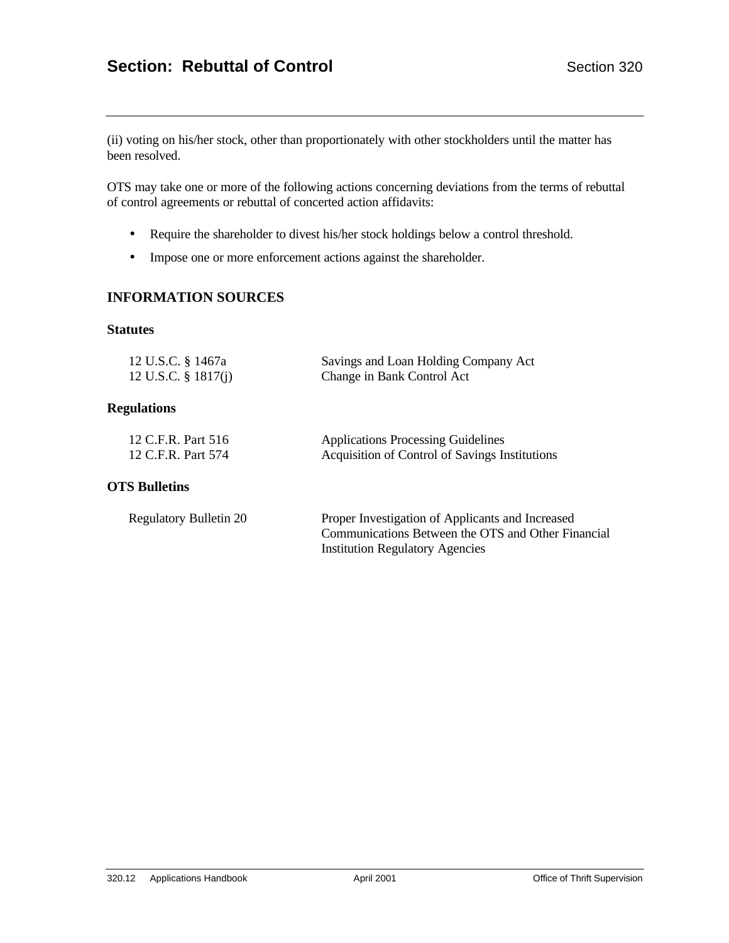(ii) voting on his/her stock, other than proportionately with other stockholders until the matter has been resolved.

OTS may take one or more of the following actions concerning deviations from the terms of rebuttal of control agreements or rebuttal of concerted action affidavits:

- Require the shareholder to divest his/her stock holdings below a control threshold.
- Impose one or more enforcement actions against the shareholder.

#### **INFORMATION SOURCES**

#### **Statutes**

| 12 U.S.C. § 1467a      | Savings and Loan Holding Company Act |
|------------------------|--------------------------------------|
| 12 U.S.C. $\S$ 1817(j) | Change in Bank Control Act           |

#### **Regulations**

| 12 C.F.R. Part 516 | <b>Applications Processing Guidelines</b>      |
|--------------------|------------------------------------------------|
| 12 C.F.R. Part 574 | Acquisition of Control of Savings Institutions |

## **OTS Bulletins**

| <b>Regulatory Bulletin 20</b> | Proper Investigation of Applicants and Increased   |
|-------------------------------|----------------------------------------------------|
|                               | Communications Between the OTS and Other Financial |
|                               | <b>Institution Regulatory Agencies</b>             |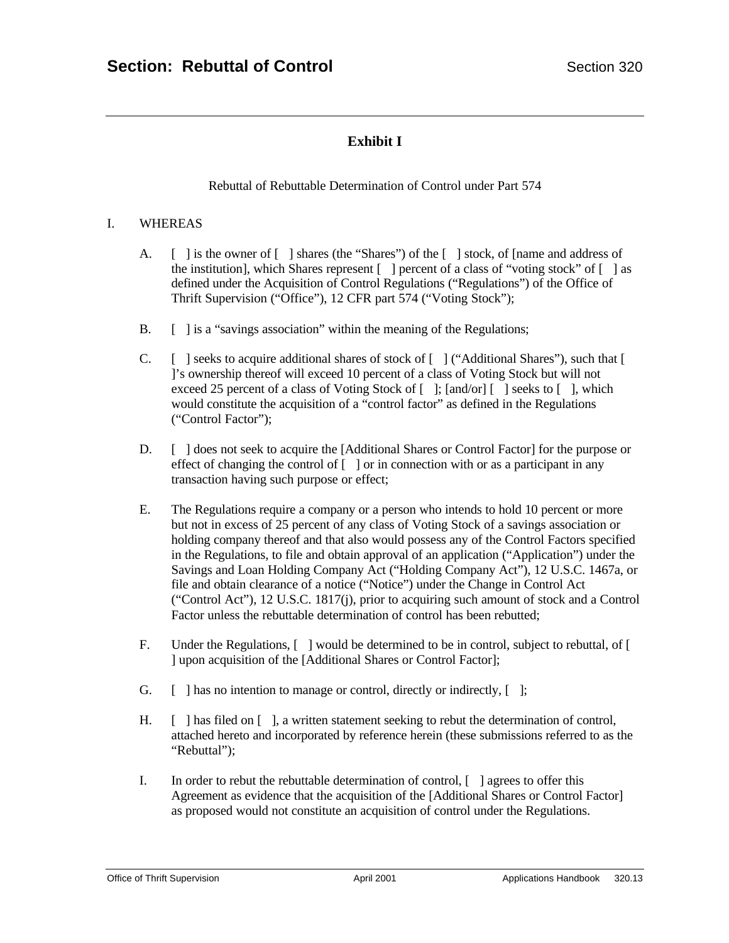# **Exhibit I**

Rebuttal of Rebuttable Determination of Control under Part 574

#### I. WHEREAS

- A. [ ] is the owner of [ ] shares (the "Shares") of the [ ] stock, of [name and address of the institution], which Shares represent [ ] percent of a class of "voting stock" of [ ] as defined under the Acquisition of Control Regulations ("Regulations") of the Office of Thrift Supervision ("Office"), 12 CFR part 574 ("Voting Stock");
- B.  $\Box$  is a "savings association" within the meaning of the Regulations;
- C. [ ] seeks to acquire additional shares of stock of [ ] ("Additional Shares"), such that [ ]'s ownership thereof will exceed 10 percent of a class of Voting Stock but will not exceed 25 percent of a class of Voting Stock of  $\lceil \cdot \rceil$ ;  $\lceil \cdot \rceil$  and/or $\lceil \cdot \rceil$  seeks to  $\lceil \cdot \rceil$ , which would constitute the acquisition of a "control factor" as defined in the Regulations ("Control Factor");
- D. [ ] does not seek to acquire the [Additional Shares or Control Factor] for the purpose or effect of changing the control of  $\lceil \ \rceil$  or in connection with or as a participant in any transaction having such purpose or effect;
- E. The Regulations require a company or a person who intends to hold 10 percent or more but not in excess of 25 percent of any class of Voting Stock of a savings association or holding company thereof and that also would possess any of the Control Factors specified in the Regulations, to file and obtain approval of an application ("Application") under the Savings and Loan Holding Company Act ("Holding Company Act"), 12 U.S.C. 1467a, or file and obtain clearance of a notice ("Notice") under the Change in Control Act ("Control Act"), 12 U.S.C. 1817(j), prior to acquiring such amount of stock and a Control Factor unless the rebuttable determination of control has been rebutted;
- F. Under the Regulations, [ ] would be determined to be in control, subject to rebuttal, of [ ] upon acquisition of the [Additional Shares or Control Factor];
- G.  $\left[ \begin{array}{ccc} \end{array} \right]$  has no intention to manage or control, directly or indirectly,  $\left[ \begin{array}{ccc} \end{array} \right]$ ;
- H. [ ] has filed on [ ], a written statement seeking to rebut the determination of control, attached hereto and incorporated by reference herein (these submissions referred to as the "Rebuttal");
- I. In order to rebut the rebuttable determination of control, [ ] agrees to offer this Agreement as evidence that the acquisition of the [Additional Shares or Control Factor] as proposed would not constitute an acquisition of control under the Regulations.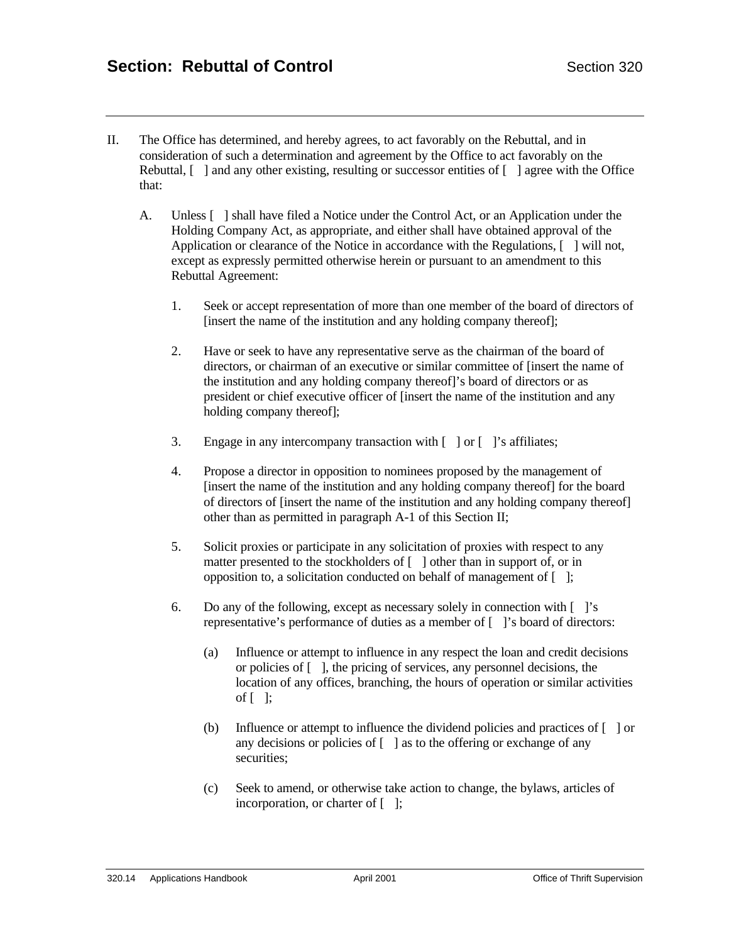- II. The Office has determined, and hereby agrees, to act favorably on the Rebuttal, and in consideration of such a determination and agreement by the Office to act favorably on the Rebuttal,  $\lceil \ \rceil$  and any other existing, resulting or successor entities of  $\lceil \ \rceil$  agree with the Office that:
	- A. Unless [ ] shall have filed a Notice under the Control Act, or an Application under the Holding Company Act, as appropriate, and either shall have obtained approval of the Application or clearance of the Notice in accordance with the Regulations, [ ] will not, except as expressly permitted otherwise herein or pursuant to an amendment to this Rebuttal Agreement:
		- 1. Seek or accept representation of more than one member of the board of directors of [insert the name of the institution and any holding company thereof];
		- 2. Have or seek to have any representative serve as the chairman of the board of directors, or chairman of an executive or similar committee of [insert the name of the institution and any holding company thereof]'s board of directors or as president or chief executive officer of [insert the name of the institution and any holding company thereof];
		- 3. Engage in any intercompany transaction with [ ] or [ ]'s affiliates;
		- 4. Propose a director in opposition to nominees proposed by the management of [insert the name of the institution and any holding company thereof] for the board of directors of [insert the name of the institution and any holding company thereof] other than as permitted in paragraph A-1 of this Section II;
		- 5. Solicit proxies or participate in any solicitation of proxies with respect to any matter presented to the stockholders of  $\lceil \ \rceil$  other than in support of, or in opposition to, a solicitation conducted on behalf of management of [ ];
		- 6. Do any of the following, except as necessary solely in connection with [ ]'s representative's performance of duties as a member of [ ]'s board of directors:
			- (a) Influence or attempt to influence in any respect the loan and credit decisions or policies of [ ], the pricing of services, any personnel decisions, the location of any offices, branching, the hours of operation or similar activities of  $\lceil \cdot \rceil$ ;
			- (b) Influence or attempt to influence the dividend policies and practices of [ ] or any decisions or policies of  $\lceil \cdot \rceil$  as to the offering or exchange of any securities;
			- (c) Seek to amend, or otherwise take action to change, the bylaws, articles of incorporation, or charter of [ ];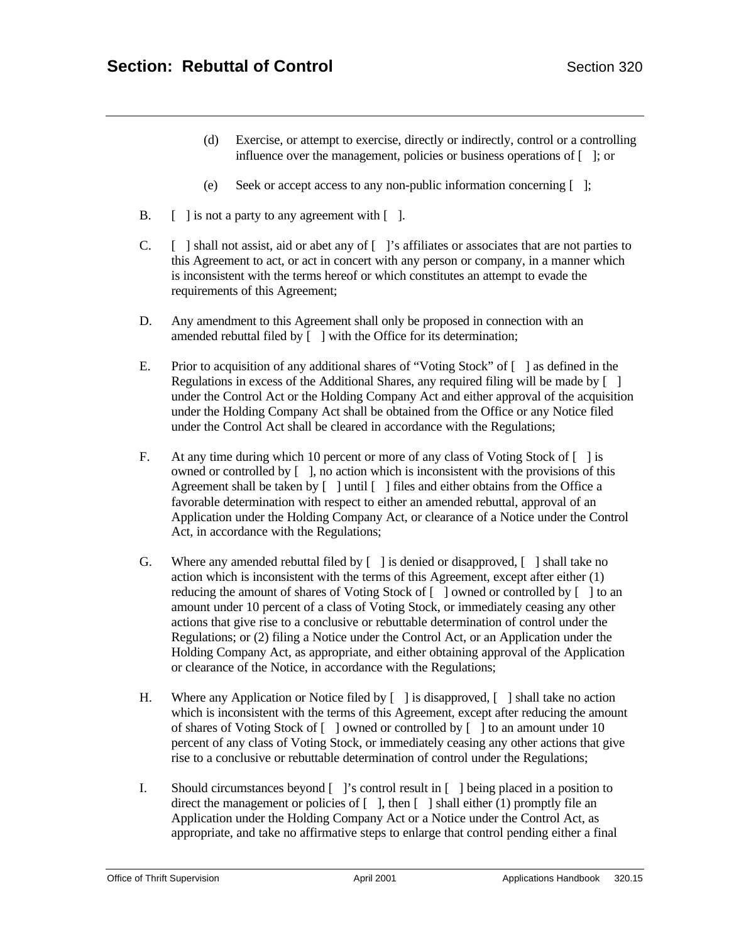- (d) Exercise, or attempt to exercise, directly or indirectly, control or a controlling influence over the management, policies or business operations of [ ]; or
- (e) Seek or accept access to any non-public information concerning [ ];
- B.  $\left[\right]$  is not a party to any agreement with  $\left[\right]$ .
- C. [ ] shall not assist, aid or abet any of [ ]'s affiliates or associates that are not parties to this Agreement to act, or act in concert with any person or company, in a manner which is inconsistent with the terms hereof or which constitutes an attempt to evade the requirements of this Agreement;
- D. Any amendment to this Agreement shall only be proposed in connection with an amended rebuttal filed by [ ] with the Office for its determination;
- E. Prior to acquisition of any additional shares of "Voting Stock" of [ ] as defined in the Regulations in excess of the Additional Shares, any required filing will be made by [ ] under the Control Act or the Holding Company Act and either approval of the acquisition under the Holding Company Act shall be obtained from the Office or any Notice filed under the Control Act shall be cleared in accordance with the Regulations;
- F. At any time during which 10 percent or more of any class of Voting Stock of [ ] is owned or controlled by [ ], no action which is inconsistent with the provisions of this Agreement shall be taken by  $\lceil \cdot \rceil$  luntil  $\lceil \cdot \rceil$  files and either obtains from the Office a favorable determination with respect to either an amended rebuttal, approval of an Application under the Holding Company Act, or clearance of a Notice under the Control Act, in accordance with the Regulations;
- G. Where any amended rebuttal filed by [ ] is denied or disapproved, [ ] shall take no action which is inconsistent with the terms of this Agreement, except after either (1) reducing the amount of shares of Voting Stock of [ ] owned or controlled by [ ] to an amount under 10 percent of a class of Voting Stock, or immediately ceasing any other actions that give rise to a conclusive or rebuttable determination of control under the Regulations; or (2) filing a Notice under the Control Act, or an Application under the Holding Company Act, as appropriate, and either obtaining approval of the Application or clearance of the Notice, in accordance with the Regulations;
- H. Where any Application or Notice filed by [ ] is disapproved, [ ] shall take no action which is inconsistent with the terms of this Agreement, except after reducing the amount of shares of Voting Stock of [ ] owned or controlled by [ ] to an amount under 10 percent of any class of Voting Stock, or immediately ceasing any other actions that give rise to a conclusive or rebuttable determination of control under the Regulations;
- I. Should circumstances beyond [ ]'s control result in [ ] being placed in a position to direct the management or policies of  $\lceil \quad \rceil$ , then  $\lceil \quad \rceil$  shall either (1) promptly file an Application under the Holding Company Act or a Notice under the Control Act, as appropriate, and take no affirmative steps to enlarge that control pending either a final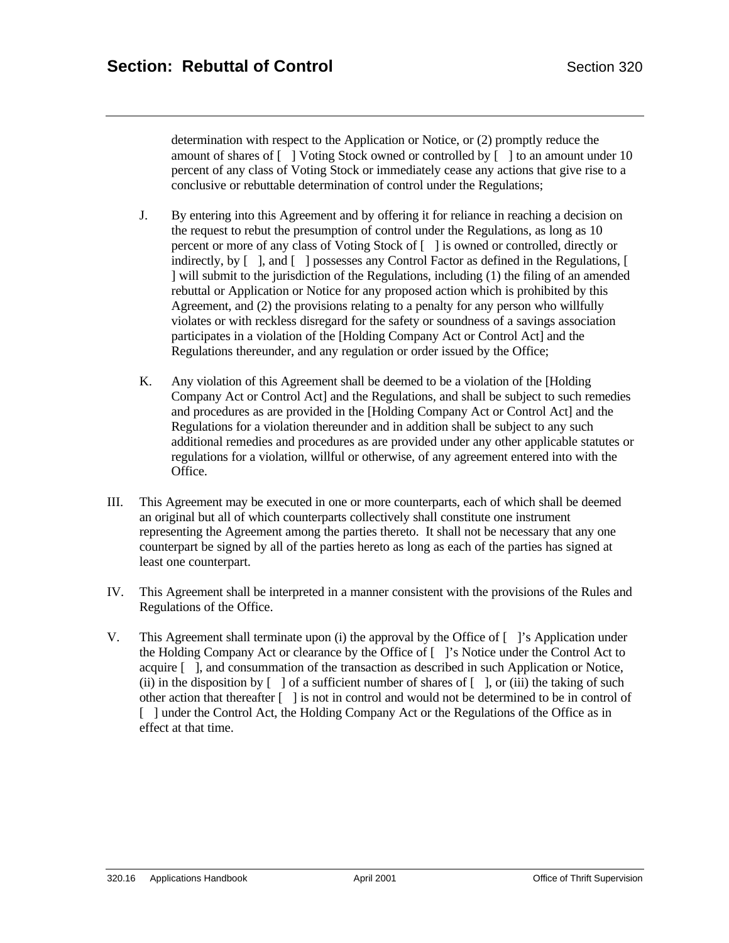determination with respect to the Application or Notice, or (2) promptly reduce the amount of shares of [ ] Voting Stock owned or controlled by [ ] to an amount under 10 percent of any class of Voting Stock or immediately cease any actions that give rise to a conclusive or rebuttable determination of control under the Regulations;

- J. By entering into this Agreement and by offering it for reliance in reaching a decision on the request to rebut the presumption of control under the Regulations, as long as 10 percent or more of any class of Voting Stock of [ ] is owned or controlled, directly or indirectly, by [ ], and [ ] possesses any Control Factor as defined in the Regulations, [ ] will submit to the jurisdiction of the Regulations, including (1) the filing of an amended rebuttal or Application or Notice for any proposed action which is prohibited by this Agreement, and (2) the provisions relating to a penalty for any person who willfully violates or with reckless disregard for the safety or soundness of a savings association participates in a violation of the [Holding Company Act or Control Act] and the Regulations thereunder, and any regulation or order issued by the Office;
- K. Any violation of this Agreement shall be deemed to be a violation of the [Holding Company Act or Control Act] and the Regulations, and shall be subject to such remedies and procedures as are provided in the [Holding Company Act or Control Act] and the Regulations for a violation thereunder and in addition shall be subject to any such additional remedies and procedures as are provided under any other applicable statutes or regulations for a violation, willful or otherwise, of any agreement entered into with the Office.
- III. This Agreement may be executed in one or more counterparts, each of which shall be deemed an original but all of which counterparts collectively shall constitute one instrument representing the Agreement among the parties thereto. It shall not be necessary that any one counterpart be signed by all of the parties hereto as long as each of the parties has signed at least one counterpart.
- IV. This Agreement shall be interpreted in a manner consistent with the provisions of the Rules and Regulations of the Office.
- V. This Agreement shall terminate upon (i) the approval by the Office of  $\lceil \cdot \rceil$ 's Application under the Holding Company Act or clearance by the Office of [ ]'s Notice under the Control Act to acquire [ ], and consummation of the transaction as described in such Application or Notice, (ii) in the disposition by  $\lceil \,\rceil$  of a sufficient number of shares of  $\lceil \,\rceil$ , or (iii) the taking of such other action that thereafter [ ] is not in control and would not be determined to be in control of [ ] under the Control Act, the Holding Company Act or the Regulations of the Office as in effect at that time.